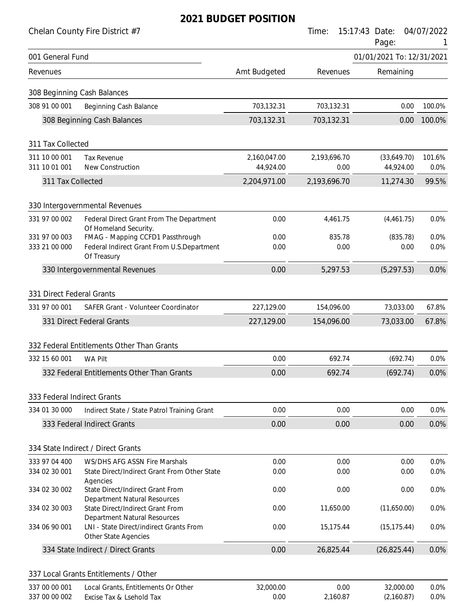|                                | Chelan County Fire District #7                                               |                           | Time:                | 15:17:43 Date:<br>Page:   | 04/07/2022     |
|--------------------------------|------------------------------------------------------------------------------|---------------------------|----------------------|---------------------------|----------------|
| 001 General Fund               |                                                                              |                           |                      | 01/01/2021 To: 12/31/2021 |                |
| Revenues                       |                                                                              | Amt Budgeted              | Revenues             | Remaining                 |                |
|                                | 308 Beginning Cash Balances                                                  |                           |                      |                           |                |
| 308 91 00 001                  | Beginning Cash Balance                                                       | 703,132.31                | 703,132.31           | 0.00                      | 100.0%         |
|                                | 308 Beginning Cash Balances                                                  | 703,132.31                | 703,132.31           | 0.00                      | 100.0%         |
| 311 Tax Collected              |                                                                              |                           |                      |                           |                |
| 311 10 00 001<br>311 10 01 001 | <b>Tax Revenue</b><br>New Construction                                       | 2,160,047.00<br>44,924.00 | 2,193,696.70<br>0.00 | (33,649.70)<br>44,924.00  | 101.6%<br>0.0% |
| 311 Tax Collected              |                                                                              | 2,204,971.00              | 2,193,696.70         | 11,274.30                 | 99.5%          |
|                                | 330 Intergovernmental Revenues                                               |                           |                      |                           |                |
| 331 97 00 002                  | Federal Direct Grant From The Department<br>Of Homeland Security.            | 0.00                      | 4,461.75             | (4,461.75)                | 0.0%           |
| 331 97 00 003                  | FMAG - Mapping CCFD1 Passthrough                                             | 0.00                      | 835.78               | (835.78)                  | 0.0%           |
| 333 21 00 000                  | Federal Indirect Grant From U.S.Department<br>Of Treasury                    | 0.00                      | 0.00                 | 0.00                      | 0.0%           |
|                                | 330 Intergovernmental Revenues                                               | 0.00                      | 5,297.53             | (5, 297.53)               | 0.0%           |
| 331 Direct Federal Grants      |                                                                              |                           |                      |                           |                |
| 331 97 00 001                  | SAFER Grant - Volunteer Coordinator                                          | 227,129.00                | 154,096.00           | 73,033.00                 | 67.8%          |
|                                | 331 Direct Federal Grants                                                    | 227,129.00                | 154,096.00           | 73,033.00                 | 67.8%          |
|                                | 332 Federal Entitlements Other Than Grants                                   |                           |                      |                           |                |
| 332 15 60 001                  | <b>WA Pilt</b>                                                               | 0.00                      | 692.74               | (692.74)                  | 0.0%           |
|                                | 332 Federal Entitlements Other Than Grants                                   | 0.00                      | 692.74               | (692.74)                  | 0.0%           |
|                                |                                                                              |                           |                      |                           |                |
| 333 Federal Indirect Grants    |                                                                              |                           |                      |                           |                |
| 334 01 30 000                  | Indirect State / State Patrol Training Grant                                 | 0.00                      | 0.00                 | 0.00                      | 0.0%           |
|                                | 333 Federal Indirect Grants                                                  | 0.00                      | 0.00                 | 0.00                      | 0.0%           |
|                                | 334 State Indirect / Direct Grants                                           |                           |                      |                           |                |
| 333 97 04 400                  | WS/DHS AFG ASSN Fire Marshals                                                | 0.00                      | 0.00                 | 0.00                      | 0.0%           |
| 334 02 30 001                  | State Direct/Indirect Grant From Other State                                 | 0.00                      | 0.00                 | 0.00                      | 0.0%           |
| 334 02 30 002                  | Agencies<br>State Direct/Indirect Grant From<br>Department Natural Resources | 0.00                      | 0.00                 | 0.00                      | 0.0%           |
| 334 02 30 003                  | State Direct/Indirect Grant From<br>Department Natural Resources             | 0.00                      | 11,650.00            | (11,650.00)               | 0.0%           |
| 334 06 90 001                  | LNI - State Direct/indirect Grants From<br>Other State Agencies              | 0.00                      | 15,175.44            | (15, 175.44)              | 0.0%           |
|                                | 334 State Indirect / Direct Grants                                           | 0.00                      | 26,825.44            | (26, 825.44)              | 0.0%           |
|                                | 337 Local Grants Entitlements / Other                                        |                           |                      |                           |                |
| 337 00 00 001                  | Local Grants, Entitlements Or Other                                          | 32,000.00                 | 0.00                 | 32,000.00                 | 0.0%           |
| 337 00 00 002                  | Excise Tax & Lsehold Tax                                                     | 0.00                      | 2,160.87             | (2,160.87)                | 0.0%           |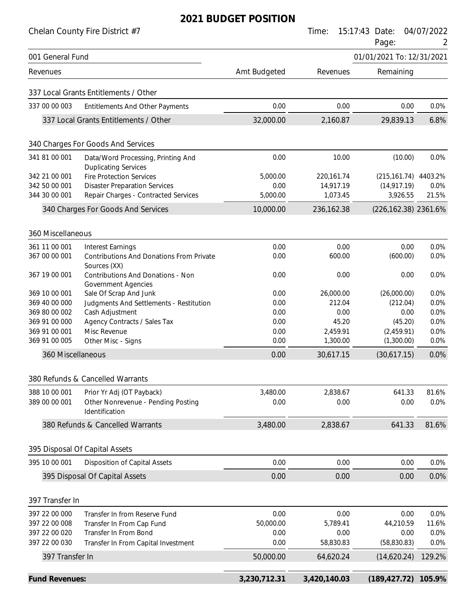|                                | Chelan County Fire District #7                                         |              | Time:                | 15:17:43 Date:<br>Page:   | 04/07/2022<br>2 |
|--------------------------------|------------------------------------------------------------------------|--------------|----------------------|---------------------------|-----------------|
| 001 General Fund               |                                                                        |              |                      | 01/01/2021 To: 12/31/2021 |                 |
| Revenues                       |                                                                        | Amt Budgeted | Revenues             | Remaining                 |                 |
|                                | 337 Local Grants Entitlements / Other                                  |              |                      |                           |                 |
| 337 00 00 003                  | <b>Entitlements And Other Payments</b>                                 | 0.00         | 0.00                 | 0.00                      | 0.0%            |
|                                | 337 Local Grants Entitlements / Other                                  | 32,000.00    | 2,160.87             | 29,839.13                 | 6.8%            |
|                                |                                                                        |              |                      |                           |                 |
|                                | 340 Charges For Goods And Services                                     |              |                      |                           |                 |
| 341 81 00 001                  | Data/Word Processing, Printing And<br><b>Duplicating Services</b>      | 0.00         | 10.00                | (10.00)                   | 0.0%            |
| 342 21 00 001                  | <b>Fire Protection Services</b>                                        | 5,000.00     | 220,161.74           | (215,161.74) 4403.2%      |                 |
| 342 50 00 001                  | <b>Disaster Preparation Services</b>                                   | 0.00         | 14,917.19            | (14, 917.19)              | 0.0%            |
| 344 30 00 001                  | Repair Charges - Contracted Services                                   | 5,000.00     | 1,073.45             | 3,926.55                  | 21.5%           |
|                                | 340 Charges For Goods And Services                                     | 10,000.00    | 236,162.38           | (226,162.38) 2361.6%      |                 |
| 360 Miscellaneous              |                                                                        |              |                      |                           |                 |
| 361 11 00 001                  | <b>Interest Earnings</b>                                               | 0.00         | 0.00                 | 0.00                      | 0.0%            |
| 367 00 00 001                  | <b>Contributions And Donations From Private</b><br>Sources (XX)        | 0.00         | 600.00               | (600.00)                  | 0.0%            |
| 367 19 00 001                  | <b>Contributions And Donations - Non</b><br><b>Government Agencies</b> | 0.00         | 0.00                 | 0.00                      | 0.0%            |
| 369 10 00 001                  | Sale Of Scrap And Junk                                                 | 0.00         | 26,000.00            | (26,000.00)               | 0.0%            |
| 369 40 00 000                  | Judgments And Settlements - Restitution                                | 0.00         | 212.04               | (212.04)                  | 0.0%            |
| 369 80 00 002                  | Cash Adjustment                                                        | 0.00         | 0.00                 | 0.00                      | 0.0%            |
| 369 91 00 000                  | Agency Contracts / Sales Tax                                           | 0.00         | 45.20                | (45.20)                   | 0.0%            |
| 369 91 00 001<br>369 91 00 005 | Misc Revenue<br>Other Misc - Signs                                     | 0.00<br>0.00 | 2,459.91<br>1,300.00 | (2,459.91)<br>(1,300.00)  | 0.0%<br>0.0%    |
| 360 Miscellaneous              |                                                                        | 0.00         | 30,617.15            | (30,617.15)               | 0.0%            |
|                                |                                                                        |              |                      |                           |                 |
|                                | 380 Refunds & Cancelled Warrants                                       |              |                      |                           |                 |
| 388 10 00 001                  | Prior Yr Adj (OT Payback)                                              | 3,480.00     | 2,838.67             | 641.33                    | 81.6%           |
| 389 00 00 001                  | Other Nonrevenue - Pending Posting<br>Identification                   | 0.00         | 0.00                 | 0.00                      | 0.0%            |
|                                | 380 Refunds & Cancelled Warrants                                       | 3,480.00     | 2,838.67             | 641.33                    | 81.6%           |
|                                | 395 Disposal Of Capital Assets                                         |              |                      |                           |                 |
| 395 10 00 001                  | <b>Disposition of Capital Assets</b>                                   | 0.00         | 0.00                 | 0.00                      | 0.0%            |
|                                | 395 Disposal Of Capital Assets                                         | 0.00         | 0.00                 | 0.00                      | 0.0%            |
|                                |                                                                        |              |                      |                           |                 |
| 397 Transfer In                |                                                                        |              |                      |                           |                 |
| 397 22 00 000                  | Transfer In from Reserve Fund                                          | 0.00         | 0.00                 | 0.00                      | 0.0%            |
| 397 22 00 008                  | Transfer In From Cap Fund                                              | 50,000.00    | 5,789.41             | 44,210.59                 | 11.6%           |
| 397 22 00 020                  | Transfer In From Bond                                                  | 0.00         | 0.00                 | 0.00                      | 0.0%            |
| 397 22 00 030                  | Transfer In From Capital Investment                                    | 0.00         | 58,830.83            | (58, 830.83)              | 0.0%            |
| 397 Transfer In                |                                                                        | 50,000.00    | 64,620.24            | (14,620.24)               | 129.2%          |
| Fund Revenues:                 |                                                                        | 3,230,712.31 | 3,420,140.03         | (189, 427.72)             | 105.9%          |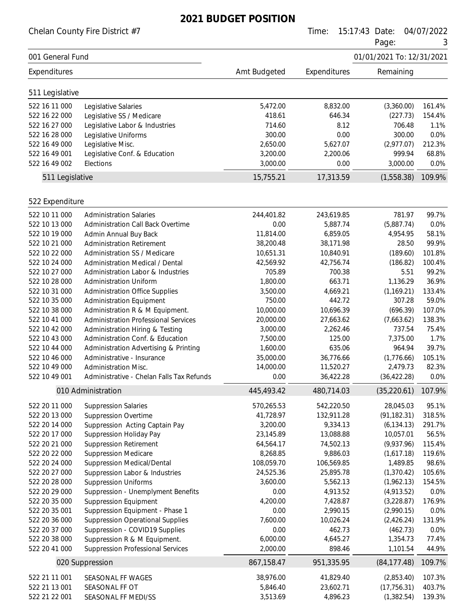Chelan County Fire District #7 Time: 15:17:43 Date: 04/07/2022

|                                |                                                                |                  |                    | Page:                     | 3             |
|--------------------------------|----------------------------------------------------------------|------------------|--------------------|---------------------------|---------------|
| 001 General Fund               |                                                                |                  |                    | 01/01/2021 To: 12/31/2021 |               |
| Expenditures                   |                                                                | Amt Budgeted     | Expenditures       | Remaining                 |               |
| 511 Legislative                |                                                                |                  |                    |                           |               |
| 522 16 11 000                  | Legislative Salaries                                           | 5,472.00         | 8,832.00           | (3,360.00)                | 161.4%        |
| 522 16 22 000                  | Legislative SS / Medicare                                      | 418.61           | 646.34             | (227.73)                  | 154.4%        |
| 522 16 27 000                  | Legislative Labor & Industries                                 | 714.60           | 8.12               | 706.48                    | 1.1%          |
| 522 16 28 000                  | Legislative Uniforms                                           | 300.00           | 0.00               | 300.00                    | 0.0%          |
| 522 16 49 000                  | Legislative Misc.                                              | 2,650.00         | 5,627.07           | (2,977.07)                | 212.3%        |
| 522 16 49 001                  | Legislative Conf. & Education                                  | 3,200.00         | 2,200.06           | 999.94                    | 68.8%         |
| 522 16 49 002                  | Elections                                                      | 3,000.00         | 0.00               | 3,000.00                  | 0.0%          |
| 511 Legislative                |                                                                | 15,755.21        | 17,313.59          | (1,558.38)                | 109.9%        |
| 522 Expenditure                |                                                                |                  |                    |                           |               |
| 522 10 11 000                  | <b>Administration Salaries</b>                                 | 244,401.82       | 243,619.85         | 781.97                    | 99.7%         |
| 522 10 13 000                  | <b>Administration Call Back Overtime</b>                       | 0.00             | 5,887.74           | (5,887.74)                | 0.0%          |
| 522 10 19 000                  | Admin Annual Buy Back                                          | 11,814.00        | 6,859.05           | 4,954.95                  | 58.1%         |
| 522 10 21 000                  | <b>Administration Retirement</b>                               | 38,200.48        | 38,171.98          | 28.50                     | 99.9%         |
| 522 10 22 000                  | Administration SS / Medicare                                   | 10,651.31        | 10,840.91          | (189.60)                  | 101.8%        |
| 522 10 24 000                  | Administration Medical / Dental                                | 42,569.92        | 42,756.74          | (186.82)                  | 100.4%        |
| 522 10 27 000                  | Administration Labor & Industries                              | 705.89           | 700.38             | 5.51                      | 99.2%         |
| 522 10 28 000                  | <b>Administration Uniform</b>                                  | 1,800.00         | 663.71             | 1,136.29                  | 36.9%         |
| 522 10 31 000                  | <b>Administration Office Supplies</b>                          | 3,500.00         | 4,669.21           | (1, 169.21)               | 133.4%        |
| 522 10 35 000                  | <b>Administration Equipment</b>                                | 750.00           | 442.72             | 307.28                    | 59.0%         |
| 522 10 38 000                  | Administration R & M Equipment.                                | 10,000.00        | 10,696.39          | (696.39)                  | 107.0%        |
| 522 10 41 000                  | <b>Administration Professional Services</b>                    | 20,000.00        | 27,663.62          | (7,663.62)                | 138.3%        |
| 522 10 42 000                  | Administration Hiring & Testing                                | 3,000.00         | 2,262.46           | 737.54                    | 75.4%         |
| 522 10 43 000                  | Administration Conf. & Education                               | 7,500.00         | 125.00             | 7,375.00                  | 1.7%          |
| 522 10 44 000                  | Administration Advertising & Printing                          | 1,600.00         | 635.06             | 964.94                    | 39.7%         |
| 522 10 46 000                  | Administrative - Insurance                                     | 35,000.00        | 36,776.66          | (1,776.66)                | 105.1%        |
| 522 10 49 000                  | <b>Administration Misc.</b>                                    | 14,000.00        | 11,520.27          | 2,479.73                  | 82.3%         |
| 522 10 49 001                  | Administrative - Chelan Falls Tax Refunds                      | 0.00             | 36,422.28          | (36, 422.28)              | 0.0%          |
|                                | 010 Administration                                             | 445,493.42       | 480,714.03         | (35, 220.61)              | 107.9%        |
| 522 20 11 000                  | <b>Suppression Salaries</b>                                    | 570,265.53       | 542,220.50         | 28,045.03                 | 95.1%         |
| 522 20 13 000                  | <b>Suppression Overtime</b>                                    | 41,728.97        | 132,911.28         | (91, 182.31)              | 318.5%        |
| 522 20 14 000                  | Suppression Acting Captain Pay                                 | 3,200.00         | 9,334.13           | (6, 134.13)               | 291.7%        |
| 522 20 17 000                  | Suppression Holiday Pay                                        | 23,145.89        | 13,088.88          | 10,057.01                 | 56.5%         |
| 522 20 21 000                  | <b>Suppression Retirement</b>                                  | 64,564.17        | 74,502.13          | (9,937.96)                | 115.4%        |
| 522 20 22 000                  | <b>Suppression Medicare</b>                                    | 8,268.85         | 9,886.03           | (1,617.18)                | 119.6%        |
| 522 20 24 000                  | Suppression Medical/Dental                                     | 108,059.70       | 106,569.85         | 1,489.85                  | 98.6%         |
| 522 20 27 000                  | Suppression Labor & Industries                                 | 24,525.36        | 25,895.78          | (1,370.42)                | 105.6%        |
| 522 20 28 000                  | <b>Suppression Uniforms</b>                                    | 3,600.00         | 5,562.13           | (1,962.13)                | 154.5%        |
| 522 20 29 000                  | Suppression - Unemplyment Benefits                             | 0.00             | 4,913.52           | (4,913.52)                | 0.0%          |
| 522 20 35 000                  | <b>Suppression Equipment</b>                                   | 4,200.00         | 7,428.87           | (3,228.87)                | 176.9%        |
| 522 20 35 001                  | Suppression Equipment - Phase 1                                | 0.00             | 2,990.15           | (2,990.15)                | 0.0%          |
| 522 20 36 000                  | <b>Suppression Operational Supplies</b>                        | 7,600.00         | 10,026.24          | (2,426.24)                | 131.9%        |
| 522 20 37 000<br>522 20 38 000 | Suppression - COVID19 Supplies<br>Suppression R & M Equipment. | 0.00<br>6,000.00 | 462.73<br>4,645.27 | (462.73)<br>1,354.73      | 0.0%<br>77.4% |
| 522 20 41 000                  |                                                                | 2,000.00         |                    |                           |               |
|                                | <b>Suppression Professional Services</b>                       |                  | 898.46             | 1,101.54                  | 44.9%         |
|                                | 020 Suppression                                                | 867,158.47       | 951,335.95         | (84, 177.48)              | 109.7%        |
| 522 21 11 001                  | SEASONAL FF WAGES                                              | 38,976.00        | 41,829.40          | (2,853.40)                | 107.3%        |
| 522 21 13 001                  | SEASONAL FF OT                                                 | 5,846.40         | 23,602.71          | (17, 756.31)              | 403.7%        |
| 522 21 22 001                  | SEASONAL FF MEDI/SS                                            | 3,513.69         | 4,896.23           | (1, 382.54)               | 139.3%        |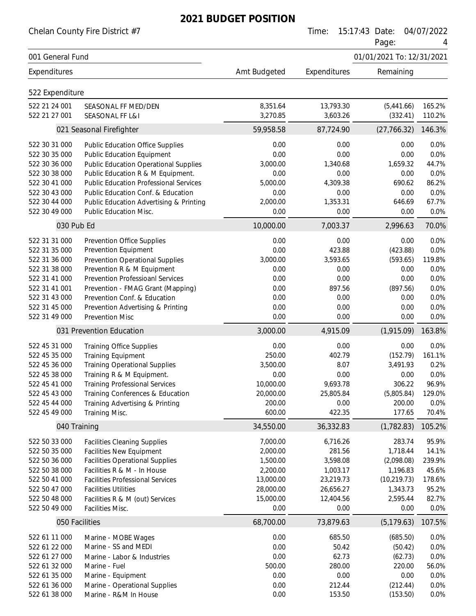Chelan County Fire District #7 Time: 15:17:43 Date: 04/07/2022 Page: 4 001 General Fund 01/01/2021 To: 12/31/2021 Expenditures **American Expenditures** Remaining Expenditures Remaining 522 Expenditure 522 21 24 001 SEASONAL FF MED/DEN 8,351.64 13,793.30 (5,441.66) 165.2% 522 21 27 001 SEASONAL FF L&I 3,270.85 3,603.26 (332.41) 110.2% 021 Seasonal Firefighter 69,958.58 87,724.90 (27,766.32) 146.3% 522 30 31 000 Public Education Office Supplies 0.00 0.00 0.00 0.0% 522 30 35 000 Public Education Equipment 0.00 0.00 0.00 0.0% 522 30 36 000 Public Education Operational Supplies 3,000.00 1,340.68 1,659.32 44.7% 522 30 38 000 Public Education R & M Equipment. 0.00 0.00 0.00 0.0% 522 30 41 000 Public Education Professional Services 5,000.00 4,309.38 690.62 86.2% 522 30 43 000 Public Education Conf. & Education 0.00 0.00 0.00 0.0% 522 30 44 000 Public Education Advertising & Printing 2,000.00 1,353.31 646.69 67.7% 522 30 49 000 Public Education Misc. 0.00 0.00 0.00 0.0% 030 Pub Ed 10,000.00 7,003.37 2,996.63 70.0% 522 31 31 000 Prevention Office Supplies 0.00 0.00 0.00 0.0% 522 31 35 000 Prevention Equipment 0.00 423.88 (423.88) 0.0% 522 31 36 000 Prevention Operational Supplies 3,000.00 3,593.65 (593.65) 119.8% 522 31 38 000 Prevention R & M Equipment 0.00 0.00 0.00 0.0% 522 31 41 000 Prevention Professioanl Services 0.00 0.00 0.00 0.0% 522 31 41 001 Prevention - FMAG Grant (Mapping) 0.00 897.56 (897.56) 0.0% 522 31 43 000 Prevention Conf. & Education 0.00 0.00 0.00 0.0% 522 31 45 000 Prevention Advertising & Printing 0.00 0.00 0.00 0.0% 522 31 49 000 Prevention Misc 0.00 0.00 0.00 0.0% 031 Prevention Education 3,000.00 4,915.09 (1,915.09) 163.8% 522 45 31 000 Training Office Supplies 0.00 0.00 0.00 0.0% 522 45 35 000 Training Equipment 250.00 402.79 (152.79) 161.1% 522 45 36 000 Training Operational Supplies 3,500.00 3,500.00 8.07 3,491.93 0.2% 522 45 38 000 Training R & M Equipment.  $0.00$  0.00 0.00 0.00 0.00 0.0% 522 45 41 000 Training Professional Services 10,000.00 9,693.78 306.22 96.9% 522 45 43 000 Training Conferences & Education 20,000.00 25,805.84 (5,805.84) 129.0% 522 45 44 000 Training Advertising & Printing 200.00 0.00 200.00 0.0% 522 45 49 000 Training Misc. 600.00 422.35 177.65 70.4% 040 Training 34,550.00 36,332.83 (1,782.83) 105.2% 522 50 33 000 Facilities Cleaning Supplies 7,000.00 6,716.26 283.74 95.9% 522 50 35 000 Facilities New Equipment 2,000.00 281.56 1,718.44 14.1% 522 50 36 000 Facilities Operational Supplies 1,500.00 3,598.08 (2,098.08) 239.9% 522 50 38 000 Facilities R & M - In House 2,200.00 1,003.17 1,196.83 45.6% 522 50 41 000 Facilities Professional Services 13,000.00 23,219.73 (10,219.73) 178.6% 522 50 47 000 Facilities Utilities 28,000.00 26,656.27 1,343.73 95.2% 522 50 48 000 Facilities R & M (out) Services 15,000.00 12,404.56 2,595.44 82.7% 522 50 49 000 Facilities Misc. 0.00 0.00 0.00 0.0% 050 Facilities 68,700.00 73,879.63 (5,179.63) 107.5% 522 61 11 000 Marine - MOBE Wages 0.00 685.50 (685.50) 0.0% 522 61 22 000 Marine - SS and MEDI 0.00 50.42 (50.42) 0.0% 522 61 27 000 Marine - Labor & Industries 0.00 62.73 (62.73) 0.0% 522 61 32 000 Marine - Fuel 500.00 280.00 220.00 56.0% 522 61 35 000 Marine - Equipment 0.00 0.00 0.00 0.0% 522 61 36 000 Marine - Operational Supplies 0.00 212.44 (212.44) 0.0% 522 61 38 000 Marine - R&M In House 0.00 153.50 (153.50) 0.0%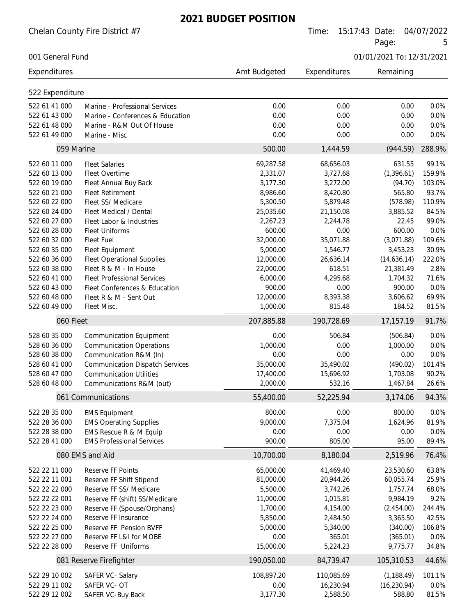Chelan County Fire District #7 Time: 15:17:43 Date: 04/07/2022 Page: 5 001 General Fund 01/01/2021 To: 12/31/2021

| <b>001 General Fund</b>                                                                                                                                                                                                                                                      |                                                                                                                                                                                                                                                                                                                                                                                                                         |                                                                                                                                                                                                |                                                                                                                                                                                      | 01/01/2021 10: 12/31/2021                                                                                                                                                              |                                                                                                                                                |
|------------------------------------------------------------------------------------------------------------------------------------------------------------------------------------------------------------------------------------------------------------------------------|-------------------------------------------------------------------------------------------------------------------------------------------------------------------------------------------------------------------------------------------------------------------------------------------------------------------------------------------------------------------------------------------------------------------------|------------------------------------------------------------------------------------------------------------------------------------------------------------------------------------------------|--------------------------------------------------------------------------------------------------------------------------------------------------------------------------------------|----------------------------------------------------------------------------------------------------------------------------------------------------------------------------------------|------------------------------------------------------------------------------------------------------------------------------------------------|
| Expenditures                                                                                                                                                                                                                                                                 |                                                                                                                                                                                                                                                                                                                                                                                                                         | Amt Budgeted                                                                                                                                                                                   | Expenditures                                                                                                                                                                         | Remaining                                                                                                                                                                              |                                                                                                                                                |
| 522 Expenditure                                                                                                                                                                                                                                                              |                                                                                                                                                                                                                                                                                                                                                                                                                         |                                                                                                                                                                                                |                                                                                                                                                                                      |                                                                                                                                                                                        |                                                                                                                                                |
| 522 61 41 000<br>522 61 43 000<br>522 61 48 000<br>522 61 49 000                                                                                                                                                                                                             | Marine - Professional Services<br>Marine - Conferences & Education<br>Marine - R&M Out Of House<br>Marine - Misc                                                                                                                                                                                                                                                                                                        | 0.00<br>0.00<br>0.00<br>0.00                                                                                                                                                                   | 0.00<br>0.00<br>0.00<br>0.00                                                                                                                                                         | 0.00<br>0.00<br>0.00<br>0.00                                                                                                                                                           | 0.0%<br>0.0%<br>0.0%<br>0.0%                                                                                                                   |
| 059 Marine                                                                                                                                                                                                                                                                   |                                                                                                                                                                                                                                                                                                                                                                                                                         | 500.00                                                                                                                                                                                         | 1,444.59                                                                                                                                                                             | (944.59)                                                                                                                                                                               | 288.9%                                                                                                                                         |
| 522 60 11 000<br>522 60 13 000<br>522 60 19 000<br>522 60 21 000<br>522 60 22 000<br>522 60 24 000<br>522 60 27 000<br>522 60 28 000<br>522 60 32 000<br>522 60 35 000<br>522 60 36 000<br>522 60 38 000<br>522 60 41 000<br>522 60 43 000<br>522 60 48 000<br>522 60 49 000 | <b>Fleet Salaries</b><br>Fleet Overtime<br>Fleet Annual Buy Back<br><b>Fleet Retirement</b><br>Fleet SS/ Medicare<br>Fleet Medical / Dental<br>Fleet Labor & Industries<br><b>Fleet Uniforms</b><br><b>Fleet Fuel</b><br>Fleet Equipment<br><b>Fleet Operational Supplies</b><br>Fleet R & M - In House<br><b>Fleet Professional Services</b><br>Fleet Conferences & Education<br>Fleet R & M - Sent Out<br>Fleet Misc. | 69,287.58<br>2,331.07<br>3,177.30<br>8,986.60<br>5,300.50<br>25,035.60<br>2,267.23<br>600.00<br>32,000.00<br>5,000.00<br>12,000.00<br>22,000.00<br>6,000.00<br>900.00<br>12,000.00<br>1,000.00 | 68,656.03<br>3,727.68<br>3,272.00<br>8,420.80<br>5,879.48<br>21,150.08<br>2.244.78<br>0.00<br>35,071.88<br>1,546.77<br>26,636.14<br>618.51<br>4,295.68<br>0.00<br>8,393.38<br>815.48 | 631.55<br>(1,396.61)<br>(94.70)<br>565.80<br>(578.98)<br>3,885.52<br>22.45<br>600.00<br>(3,071.88)<br>3,453.23<br>(14,636.14)<br>21,381.49<br>1,704.32<br>900.00<br>3,606.62<br>184.52 | 99.1%<br>159.9%<br>103.0%<br>93.7%<br>110.9%<br>84.5%<br>99.0%<br>0.0%<br>109.6%<br>30.9%<br>222.0%<br>2.8%<br>71.6%<br>0.0%<br>69.9%<br>81.5% |
| 060 Fleet                                                                                                                                                                                                                                                                    |                                                                                                                                                                                                                                                                                                                                                                                                                         | 207,885.88                                                                                                                                                                                     | 190,728.69                                                                                                                                                                           | 17,157.19                                                                                                                                                                              | 91.7%                                                                                                                                          |
| 528 60 35 000<br>528 60 36 000<br>528 60 38 000<br>528 60 41 000<br>528 60 47 000<br>528 60 48 000                                                                                                                                                                           | <b>Communication Equipment</b><br><b>Communication Operations</b><br>Communication R&M (In)<br><b>Communication Dispatch Services</b><br><b>Communication Utilities</b><br>Communications R&M (out)                                                                                                                                                                                                                     | 0.00<br>1,000.00<br>0.00<br>35,000.00<br>17,400.00<br>2,000.00                                                                                                                                 | 506.84<br>0.00<br>0.00<br>35,490.02<br>15,696.92<br>532.16                                                                                                                           | (506.84)<br>1,000.00<br>0.00<br>(490.02)<br>1,703.08<br>1,467.84                                                                                                                       | 0.0%<br>0.0%<br>0.0%<br>101.4%<br>90.2%<br>26.6%                                                                                               |
|                                                                                                                                                                                                                                                                              | 061 Communications                                                                                                                                                                                                                                                                                                                                                                                                      | 55,400.00                                                                                                                                                                                      | 52,225.94                                                                                                                                                                            | 3,174.06                                                                                                                                                                               | 94.3%                                                                                                                                          |
| 522 28 35 000<br>522 28 36 000<br>522 28 38 000<br>522 28 41 000                                                                                                                                                                                                             | <b>EMS Equipment</b><br><b>EMS Operating Supplies</b><br>EMS Rescue R & M Equip<br><b>EMS Professional Services</b>                                                                                                                                                                                                                                                                                                     | 800.00<br>9,000.00<br>0.00<br>900.00                                                                                                                                                           | 0.00<br>7,375.04<br>0.00<br>805.00                                                                                                                                                   | 800.00<br>1,624.96<br>0.00<br>95.00                                                                                                                                                    | 0.0%<br>81.9%<br>0.0%<br>89.4%                                                                                                                 |
|                                                                                                                                                                                                                                                                              | 080 EMS and Aid                                                                                                                                                                                                                                                                                                                                                                                                         | 10,700.00                                                                                                                                                                                      | 8,180.04                                                                                                                                                                             | 2,519.96                                                                                                                                                                               | 76.4%                                                                                                                                          |
| 522 22 11 000<br>522 22 11 001<br>522 22 22 000<br>522 22 22 001<br>522 22 23 000<br>522 22 24 000<br>522 22 25 000<br>522 22 27 000<br>522 22 28 000                                                                                                                        | Reserve FF Points<br>Reserve FF Shift Stipend<br>Reserve FF SS/ Medicare<br>Reserve FF (shift) SS/Medicare<br>Reserve FF (Spouse/Orphans)<br>Reserve FF Insurance<br>Reserve FF Pension BVFF<br>Reserve FF L&I for MOBE<br>Reserve FF Uniforms                                                                                                                                                                          | 65,000.00<br>81,000.00<br>5,500.00<br>11,000.00<br>1,700.00<br>5,850.00<br>5,000.00<br>0.00<br>15,000.00                                                                                       | 41,469.40<br>20,944.26<br>3,742.26<br>1,015.81<br>4,154.00<br>2,484.50<br>5,340.00<br>365.01<br>5,224.23                                                                             | 23,530.60<br>60,055.74<br>1,757.74<br>9,984.19<br>(2,454.00)<br>3,365.50<br>(340.00)<br>(365.01)<br>9,775.77                                                                           | 63.8%<br>25.9%<br>68.0%<br>9.2%<br>244.4%<br>42.5%<br>106.8%<br>0.0%<br>34.8%                                                                  |
|                                                                                                                                                                                                                                                                              | 081 Reserve Firefighter                                                                                                                                                                                                                                                                                                                                                                                                 | 190,050.00                                                                                                                                                                                     | 84,739.47                                                                                                                                                                            | 105,310.53                                                                                                                                                                             | 44.6%                                                                                                                                          |
| 522 29 10 002<br>522 29 11 002<br>522 29 12 002                                                                                                                                                                                                                              | SAFER VC- Salary<br>SAFER VC-OT<br>SAFER VC-Buy Back                                                                                                                                                                                                                                                                                                                                                                    | 108,897.20<br>0.00<br>3,177.30                                                                                                                                                                 | 110,085.69<br>16,230.94<br>2,588.50                                                                                                                                                  | (1, 188.49)<br>(16, 230.94)<br>588.80                                                                                                                                                  | 101.1%<br>0.0%<br>81.5%                                                                                                                        |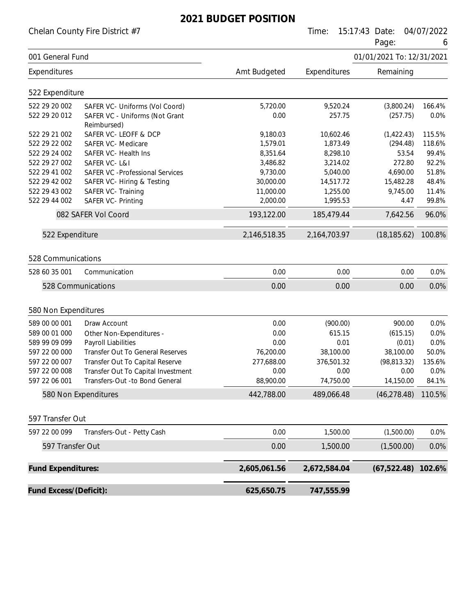Chelan County Fire District #7 Time: 15:17:43 Date: 04/07/2022

|                           |                                               |              |              | Page:                     | 6      |
|---------------------------|-----------------------------------------------|--------------|--------------|---------------------------|--------|
| 001 General Fund          |                                               |              |              | 01/01/2021 To: 12/31/2021 |        |
| Expenditures              |                                               | Amt Budgeted | Expenditures | Remaining                 |        |
| 522 Expenditure           |                                               |              |              |                           |        |
| 522 29 20 002             | SAFER VC- Uniforms (Vol Coord)                | 5,720.00     | 9,520.24     | (3,800.24)                | 166.4% |
| 522 29 20 012             | SAFER VC - Uniforms (Not Grant<br>Reimbursed) | 0.00         | 257.75       | (257.75)                  | 0.0%   |
| 522 29 21 002             | SAFER VC-LEOFF & DCP                          | 9,180.03     | 10,602.46    | (1,422.43)                | 115.5% |
| 522 29 22 002             | SAFER VC- Medicare                            | 1,579.01     | 1,873.49     | (294.48)                  | 118.6% |
| 522 29 24 002             | SAFER VC- Health Ins                          | 8,351.64     | 8,298.10     | 53.54                     | 99.4%  |
| 522 29 27 002             | SAFER VC-L&I                                  | 3,486.82     | 3,214.02     | 272.80                    | 92.2%  |
| 522 29 41 002             | <b>SAFER VC -Professional Services</b>        | 9,730.00     | 5,040.00     | 4,690.00                  | 51.8%  |
| 522 29 42 002             | SAFER VC- Hiring & Testing                    | 30,000.00    | 14,517.72    | 15,482.28                 | 48.4%  |
| 522 29 43 002             | SAFER VC- Training                            | 11,000.00    | 1,255.00     | 9,745.00                  | 11.4%  |
| 522 29 44 002             | <b>SAFER VC- Printing</b>                     | 2,000.00     | 1,995.53     | 4.47                      | 99.8%  |
|                           | 082 SAFER Vol Coord                           | 193,122.00   | 185,479.44   | 7,642.56                  | 96.0%  |
| 522 Expenditure           |                                               | 2,146,518.35 | 2,164,703.97 | (18, 185.62)              | 100.8% |
|                           |                                               |              |              |                           |        |
| 528 Communications        |                                               |              |              |                           |        |
| 528 60 35 001             | Communication                                 | 0.00         | 0.00         | 0.00                      | 0.0%   |
|                           | 528 Communications                            | 0.00         | 0.00         | 0.00                      | 0.0%   |
|                           |                                               |              |              |                           |        |
| 580 Non Expenditures      |                                               |              |              |                           |        |
| 589 00 00 001             | Draw Account                                  | 0.00         | (900.00)     | 900.00                    | 0.0%   |
| 589 00 01 000             | Other Non-Expenditures -                      | 0.00         | 615.15       | (615.15)                  | 0.0%   |
| 589 99 09 099             | <b>Payroll Liabilities</b>                    | 0.00         | 0.01         | (0.01)                    | 0.0%   |
| 597 22 00 000             | Transfer Out To General Reserves              | 76,200.00    | 38,100.00    | 38,100.00                 | 50.0%  |
| 597 22 00 007             | Transfer Out To Capital Reserve               | 277,688.00   | 376,501.32   | (98, 813.32)              | 135.6% |
| 597 22 00 008             | Transfer Out To Capital Investment            | 0.00         | 0.00         | 0.00                      | 0.0%   |
| 597 22 06 001             | Transfers-Out -to Bond General                | 88,900.00    | 74,750.00    | 14,150.00                 | 84.1%  |
|                           | 580 Non Expenditures                          | 442,788.00   | 489,066.48   | (46, 278.48)              | 110.5% |
| 597 Transfer Out          |                                               |              |              |                           |        |
| 597 22 00 099             | Transfers-Out - Petty Cash                    | 0.00         | 1,500.00     | (1,500.00)                | 0.0%   |
| 597 Transfer Out          |                                               | 0.00         | 1,500.00     | (1,500.00)                | 0.0%   |
|                           |                                               |              |              |                           |        |
| <b>Fund Expenditures:</b> |                                               | 2,605,061.56 | 2,672,584.04 | (67, 522.48)              | 102.6% |
| Fund Excess/(Deficit):    |                                               | 625,650.75   | 747,555.99   |                           |        |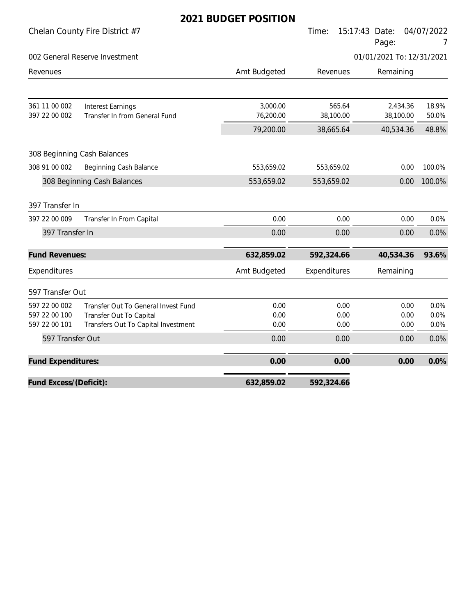|                           |                                     | ZUZ I DUDULI FUJITIUN |              |                           |                 |
|---------------------------|-------------------------------------|-----------------------|--------------|---------------------------|-----------------|
|                           | Chelan County Fire District #7      |                       | Time:        | 15:17:43 Date:<br>Page:   | 04/07/2022<br>7 |
|                           | 002 General Reserve Investment      |                       |              | 01/01/2021 To: 12/31/2021 |                 |
| Revenues                  |                                     | Amt Budgeted          | Revenues     | Remaining                 |                 |
| 361 11 00 002             | <b>Interest Earnings</b>            | 3,000.00              | 565.64       | 2,434.36                  | 18.9%           |
| 397 22 00 002             | Transfer In from General Fund       | 76,200.00             | 38,100.00    | 38,100.00                 | 50.0%           |
|                           |                                     | 79,200.00             | 38,665.64    | 40,534.36                 | 48.8%           |
|                           | 308 Beginning Cash Balances         |                       |              |                           |                 |
| 308 91 00 002             | <b>Beginning Cash Balance</b>       | 553,659.02            | 553,659.02   | 0.00                      | 100.0%          |
|                           | 308 Beginning Cash Balances         | 553,659.02            | 553,659.02   | 0.00                      | 100.0%          |
| 397 Transfer In           |                                     |                       |              |                           |                 |
| 397 22 00 009             | Transfer In From Capital            | 0.00                  | 0.00         | 0.00                      | 0.0%            |
| 397 Transfer In           |                                     | 0.00                  | 0.00         | 0.00                      | 0.0%            |
| <b>Fund Revenues:</b>     |                                     | 632,859.02            | 592,324.66   | 40,534.36                 | 93.6%           |
| Expenditures              |                                     | Amt Budgeted          | Expenditures | Remaining                 |                 |
| 597 Transfer Out          |                                     |                       |              |                           |                 |
| 597 22 00 002             | Transfer Out To General Invest Fund | 0.00                  | 0.00         | 0.00                      | 0.0%            |
| 597 22 00 100             | Transfer Out To Capital             | 0.00                  | 0.00         | 0.00                      | 0.0%            |
| 597 22 00 101             | Transfers Out To Capital Investment | 0.00                  | 0.00         | 0.00                      | 0.0%            |
| 597 Transfer Out          |                                     | 0.00                  | 0.00         | 0.00                      | 0.0%            |
| <b>Fund Expenditures:</b> |                                     | 0.00                  | 0.00         | 0.00                      | 0.0%            |
| Fund Excess/(Deficit):    |                                     | 632,859.02            | 592,324.66   |                           |                 |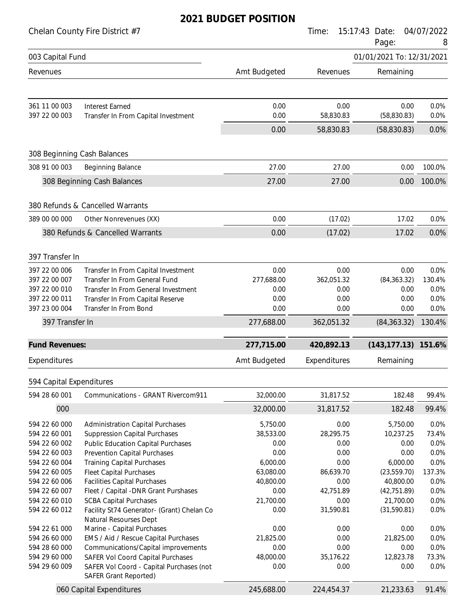|                                | Chelan County Fire District #7                                           |                        | Time:             | 15:17:43 Date:<br>Page:   | 04/07/2022<br>8 |
|--------------------------------|--------------------------------------------------------------------------|------------------------|-------------------|---------------------------|-----------------|
| 003 Capital Fund               |                                                                          |                        |                   | 01/01/2021 To: 12/31/2021 |                 |
| Revenues                       |                                                                          | Amt Budgeted           | Revenues          | Remaining                 |                 |
| 361 11 00 003<br>397 22 00 003 | <b>Interest Earned</b><br>Transfer In From Capital Investment            | 0.00<br>0.00           | 0.00<br>58,830.83 | 0.00<br>(58, 830.83)      | 0.0%<br>0.0%    |
|                                |                                                                          | 0.00                   | 58,830.83         | (58, 830.83)              | 0.0%            |
|                                | 308 Beginning Cash Balances                                              |                        |                   |                           |                 |
| 308 91 00 003                  | Beginning Balance                                                        | 27.00                  | 27.00             | 0.00                      | 100.0%          |
|                                | 308 Beginning Cash Balances                                              | 27.00                  | 27.00             | 0.00                      | 100.0%          |
|                                | 380 Refunds & Cancelled Warrants                                         |                        |                   |                           |                 |
| 389 00 00 000                  | Other Nonrevenues (XX)                                                   | 0.00                   | (17.02)           | 17.02                     | 0.0%            |
|                                | 380 Refunds & Cancelled Warrants                                         | 0.00                   | (17.02)           | 17.02                     | 0.0%            |
| 397 Transfer In                |                                                                          |                        |                   |                           |                 |
| 397 22 00 006                  | Transfer In From Capital Investment                                      | 0.00                   | 0.00              | 0.00                      | 0.0%            |
| 397 22 00 007                  | Transfer In From General Fund                                            | 277,688.00             | 362,051.32        | (84, 363.32)              | 130.4%          |
| 397 22 00 010                  | Transfer In From General Investment                                      | 0.00                   | 0.00              | 0.00                      | 0.0%            |
| 397 22 00 011<br>397 23 00 004 | Transfer In From Capital Reserve<br>Transfer In From Bond                | 0.00<br>0.00           | 0.00<br>0.00      | 0.00<br>0.00              | 0.0%<br>0.0%    |
| 397 Transfer In                |                                                                          | 277,688.00             | 362,051.32        | (84, 363.32)              | 130.4%          |
|                                |                                                                          |                        |                   |                           |                 |
| <b>Fund Revenues:</b>          |                                                                          | 277,715.00             | 420,892.13        | (143, 177.13)             | 151.6%          |
| Expenditures                   |                                                                          | Amt Budgeted           | Expenditures      | Remaining                 |                 |
| 594 Capital Expenditures       |                                                                          |                        |                   |                           |                 |
| 594 28 60 001                  | Communications - GRANT Rivercom911                                       | 32,000.00              | 31,817.52         | 182.48                    | 99.4%           |
| 000                            |                                                                          | 32,000.00              | 31,817.52         | 182.48                    | 99.4%           |
| 594 22 60 000                  | <b>Administration Capital Purchases</b>                                  | 5,750.00               | 0.00              | 5,750.00                  | 0.0%            |
| 594 22 60 001                  | <b>Suppression Capital Purchases</b>                                     | 38,533.00              | 28,295.75         | 10,237.25                 | 73.4%           |
| 594 22 60 002                  | <b>Public Education Capital Purchases</b>                                | 0.00                   | 0.00              | 0.00                      | 0.0%            |
| 594 22 60 003                  | <b>Prevention Capital Purchases</b>                                      | 0.00                   | 0.00              | 0.00                      | 0.0%            |
| 594 22 60 004                  | <b>Training Capital Purchases</b>                                        | 6,000.00               | 0.00              | 6,000.00                  | 0.0%            |
| 594 22 60 005<br>594 22 60 006 | <b>Fleet Capital Purchases</b><br><b>Facilities Capital Purchases</b>    | 63,080.00<br>40,800.00 | 86,639.70<br>0.00 | (23, 559.70)<br>40,800.00 | 137.3%<br>0.0%  |
| 594 22 60 007                  | Fleet / Capital -DNR Grant Purshases                                     | 0.00                   | 42,751.89         | (42,751.89)               | 0.0%            |
| 594 22 60 010                  | <b>SCBA Capital Purchases</b>                                            | 21,700.00              | 0.00              | 21,700.00                 | 0.0%            |
| 594 22 60 012                  | Facility St74 Generator- (Grant) Chelan Co<br>Natural Resourses Dept     | 0.00                   | 31,590.81         | (31,590.81)               | 0.0%            |
| 594 22 61 000                  | Marine - Capital Purchases                                               | 0.00                   | 0.00              | 0.00                      | 0.0%            |
| 594 26 60 000                  | EMS / Aid / Rescue Capital Purchases                                     | 21,825.00              | 0.00              | 21,825.00                 | 0.0%            |
| 594 28 60 000                  | Communications/Capital improvements                                      | 0.00                   | 0.00              | 0.00                      | 0.0%            |
| 594 29 60 000                  | <b>SAFER Vol Coord Capital Purchases</b>                                 | 48,000.00              | 35,176.22         | 12,823.78                 | 73.3%           |
| 594 29 60 009                  | SAFER Vol Coord - Capital Purchases (not<br><b>SAFER Grant Reported)</b> | 0.00                   | 0.00              | 0.00                      | 0.0%            |
|                                | 060 Capital Expenditures                                                 | 245,688.00             | 224,454.37        | 21,233.63                 | 91.4%           |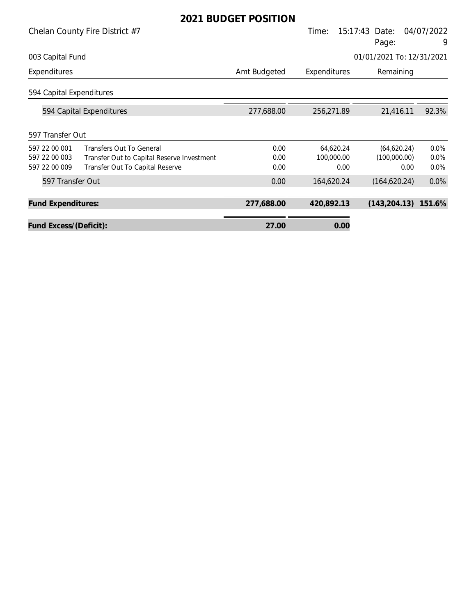|                                                 | Chelan County Fire District #7                                                                            |                      | Time:                           | 15:17:43<br>Date:<br>Page:          | 04/07/2022<br>9      |
|-------------------------------------------------|-----------------------------------------------------------------------------------------------------------|----------------------|---------------------------------|-------------------------------------|----------------------|
| 003 Capital Fund                                |                                                                                                           |                      |                                 | 01/01/2021 To: 12/31/2021           |                      |
| Expenditures                                    |                                                                                                           | Amt Budgeted         | Expenditures                    | Remaining                           |                      |
| 594 Capital Expenditures                        |                                                                                                           |                      |                                 |                                     |                      |
|                                                 | 594 Capital Expenditures                                                                                  | 277,688.00           | 256,271.89                      | 21,416.11                           | 92.3%                |
| 597 Transfer Out                                |                                                                                                           |                      |                                 |                                     |                      |
| 597 22 00 001<br>597 22 00 003<br>597 22 00 009 | Transfers Out To General<br>Transfer Out to Capital Reserve Investment<br>Transfer Out To Capital Reserve | 0.00<br>0.00<br>0.00 | 64,620.24<br>100,000.00<br>0.00 | (64,620.24)<br>(100,000.00)<br>0.00 | 0.0%<br>0.0%<br>0.0% |
|                                                 | 597 Transfer Out                                                                                          | 0.00                 | 164,620.24                      | (164, 620.24)                       | 0.0%                 |
| <b>Fund Expenditures:</b>                       |                                                                                                           | 277,688.00           | 420,892.13                      | (143, 204.13)                       | 151.6%               |
| Fund Excess/(Deficit):                          |                                                                                                           | 27.00                | 0.00                            |                                     |                      |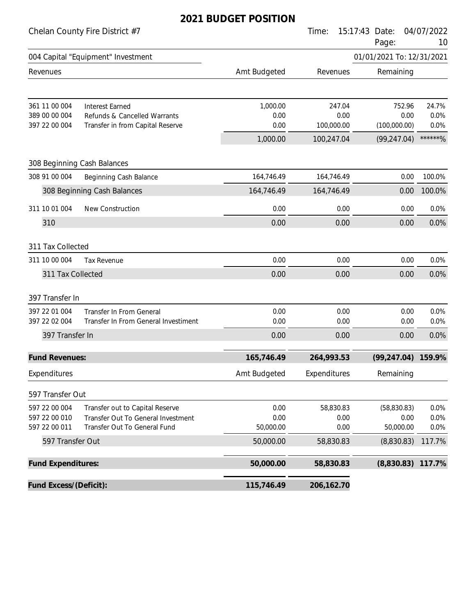#### Chelan County Fire District #7 Time: 15:17:43 Date: 04/07/2022

|                                                 |                                                                                                       |                           |                              | Page:                             | 10                    |
|-------------------------------------------------|-------------------------------------------------------------------------------------------------------|---------------------------|------------------------------|-----------------------------------|-----------------------|
|                                                 | 004 Capital "Equipment" Investment                                                                    |                           |                              | 01/01/2021 To: 12/31/2021         |                       |
| Revenues                                        |                                                                                                       | Amt Budgeted              | Revenues                     | Remaining                         |                       |
| 361 11 00 004<br>389 00 00 004<br>397 22 00 004 | <b>Interest Earned</b><br>Refunds & Cancelled Warrants<br>Transfer in from Capital Reserve            | 1,000.00<br>0.00<br>0.00  | 247.04<br>0.00<br>100,000.00 | 752.96<br>0.00<br>(100,000.00)    | 24.7%<br>0.0%<br>0.0% |
|                                                 |                                                                                                       | 1,000.00                  | 100,247.04                   | (99, 247.04)                      | ******%               |
|                                                 | 308 Beginning Cash Balances                                                                           |                           |                              |                                   |                       |
| 308 91 00 004                                   | Beginning Cash Balance                                                                                | 164,746.49                | 164,746.49                   | 0.00                              | 100.0%                |
|                                                 | 308 Beginning Cash Balances                                                                           | 164,746.49                | 164,746.49                   | 0.00                              | 100.0%                |
| 311 10 01 004                                   | New Construction                                                                                      | 0.00                      | 0.00                         | 0.00                              | 0.0%                  |
| 310                                             |                                                                                                       | 0.00                      | 0.00                         | 0.00                              | 0.0%                  |
| 311 Tax Collected                               |                                                                                                       |                           |                              |                                   |                       |
| 311 10 00 004                                   | <b>Tax Revenue</b>                                                                                    | 0.00                      | 0.00                         | 0.00                              | 0.0%                  |
| 311 Tax Collected                               |                                                                                                       | 0.00                      | 0.00                         | 0.00                              | 0.0%                  |
| 397 Transfer In                                 |                                                                                                       |                           |                              |                                   |                       |
| 397 22 01 004<br>397 22 02 004                  | Transfer In From General<br>Transfer In From General Investiment                                      | 0.00<br>0.00              | 0.00<br>0.00                 | 0.00<br>0.00                      | 0.0%<br>0.0%          |
| 397 Transfer In                                 |                                                                                                       | 0.00                      | 0.00                         | 0.00                              | 0.0%                  |
| <b>Fund Revenues:</b>                           |                                                                                                       | 165,746.49                | 264,993.53                   | (99, 247.04)                      | 159.9%                |
| Expenditures                                    |                                                                                                       | Amt Budgeted              | Expenditures                 | Remaining                         |                       |
| 597 Transfer Out                                |                                                                                                       |                           |                              |                                   |                       |
| 597 22 00 004<br>597 22 00 010<br>597 22 00 011 | Transfer out to Capital Reserve<br>Transfer Out To General Investment<br>Transfer Out To General Fund | 0.00<br>0.00<br>50,000.00 | 58,830.83<br>0.00<br>0.00    | (58, 830.83)<br>0.00<br>50,000.00 | 0.0%<br>0.0%<br>0.0%  |
| 597 Transfer Out                                |                                                                                                       | 50,000.00                 | 58,830.83                    | (8,830.83)                        | 117.7%                |
| Fund Expenditures:                              |                                                                                                       | 50,000.00                 | 58,830.83                    | (8,830.83)                        | 117.7%                |
| Fund Excess/(Deficit):                          |                                                                                                       | 115,746.49                | 206,162.70                   |                                   |                       |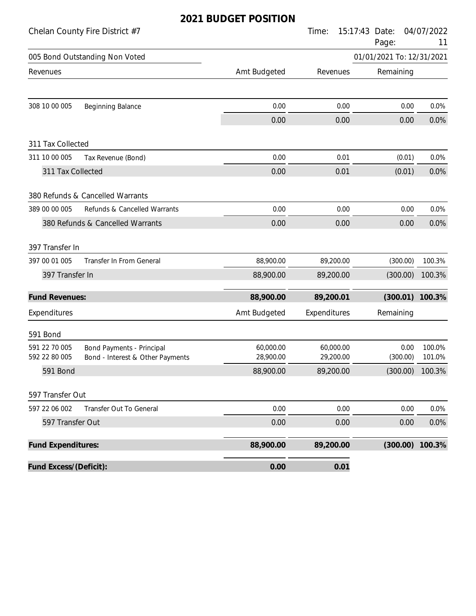|                                | Chelan County Fire District #7                                       |                        | Time:                  | 15:17:43 Date:<br>Page:   | 04/07/2022<br>11  |
|--------------------------------|----------------------------------------------------------------------|------------------------|------------------------|---------------------------|-------------------|
|                                | 005 Bond Outstanding Non Voted                                       |                        |                        | 01/01/2021 To: 12/31/2021 |                   |
| Revenues                       |                                                                      | Amt Budgeted           | Revenues               | Remaining                 |                   |
| 308 10 00 005                  | <b>Beginning Balance</b>                                             | 0.00                   | 0.00                   | 0.00                      | 0.0%              |
|                                |                                                                      | 0.00                   | 0.00                   | 0.00                      | 0.0%              |
| 311 Tax Collected              |                                                                      |                        |                        |                           |                   |
| 311 10 00 005                  | Tax Revenue (Bond)                                                   | 0.00                   | 0.01                   | (0.01)                    | 0.0%              |
| 311 Tax Collected              |                                                                      | 0.00                   | 0.01                   | (0.01)                    | 0.0%              |
|                                | 380 Refunds & Cancelled Warrants                                     |                        |                        |                           |                   |
| 389 00 00 005                  | Refunds & Cancelled Warrants                                         | 0.00                   | 0.00                   | 0.00                      | 0.0%              |
|                                | 380 Refunds & Cancelled Warrants                                     | 0.00                   | 0.00                   | 0.00                      | 0.0%              |
| 397 Transfer In                |                                                                      |                        |                        |                           |                   |
| 397 00 01 005                  | Transfer In From General                                             | 88,900.00              | 89,200.00              | (300.00)                  | 100.3%            |
| 397 Transfer In                |                                                                      | 88,900.00              | 89,200.00              | (300.00)                  | 100.3%            |
| <b>Fund Revenues:</b>          |                                                                      | 88,900.00              | 89,200.01              | (300.01)                  | 100.3%            |
| Expenditures                   |                                                                      | Amt Budgeted           | Expenditures           | Remaining                 |                   |
| 591 Bond                       |                                                                      |                        |                        |                           |                   |
| 591 22 70 005<br>592 22 80 005 | <b>Bond Payments - Principal</b><br>Bond - Interest & Other Payments | 60,000.00<br>28,900.00 | 60,000.00<br>29,200.00 | 0.00<br>(300.00)          | 100.0%<br>101.0%  |
| 591 Bond                       |                                                                      | 88,900.00              | 89,200.00              |                           | $(300.00)$ 100.3% |
| 597 Transfer Out               |                                                                      |                        |                        |                           |                   |
| 597 22 06 002                  | Transfer Out To General                                              | 0.00                   | 0.00                   | 0.00                      | 0.0%              |
| 597 Transfer Out               |                                                                      | 0.00                   | 0.00                   | 0.00                      | 0.0%              |
| Fund Expenditures:             |                                                                      | 88,900.00              | 89,200.00              | (300.00)                  | 100.3%            |
| Fund Excess/(Deficit):         |                                                                      | 0.00                   | 0.01                   |                           |                   |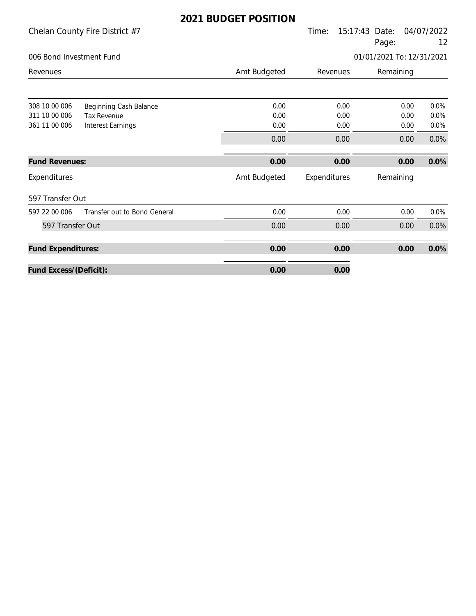|                                                 | Chelan County Fire District #7                                    |                      | Time:                | 15:17:43<br>Date:<br>Page: | 04/07/2022<br>12     |
|-------------------------------------------------|-------------------------------------------------------------------|----------------------|----------------------|----------------------------|----------------------|
| 006 Bond Investment Fund                        |                                                                   |                      |                      | 01/01/2021 To: 12/31/2021  |                      |
| Revenues                                        |                                                                   | Amt Budgeted         | Revenues             | Remaining                  |                      |
| 308 10 00 006<br>311 10 00 006<br>361 11 00 006 | Beginning Cash Balance<br><b>Tax Revenue</b><br>Interest Earnings | 0.00<br>0.00<br>0.00 | 0.00<br>0.00<br>0.00 | 0.00<br>0.00<br>0.00       | 0.0%<br>0.0%<br>0.0% |
|                                                 |                                                                   | 0.00                 | 0.00                 | 0.00                       | 0.0%                 |
| <b>Fund Revenues:</b>                           |                                                                   | 0.00                 | 0.00                 | 0.00                       | 0.0%                 |
| Expenditures                                    |                                                                   | Amt Budgeted         | Expenditures         | Remaining                  |                      |
| 597 Transfer Out                                |                                                                   |                      |                      |                            |                      |
| 597 22 00 006                                   | Transfer out to Bond General                                      | 0.00                 | 0.00                 | 0.00                       | 0.0%                 |
| 597 Transfer Out                                |                                                                   | 0.00                 | 0.00                 | 0.00                       | 0.0%                 |
| <b>Fund Expenditures:</b>                       |                                                                   | 0.00                 | 0.00                 | 0.00                       | 0.0%                 |
| Fund Excess/(Deficit):                          |                                                                   | 0.00                 | 0.00                 |                            |                      |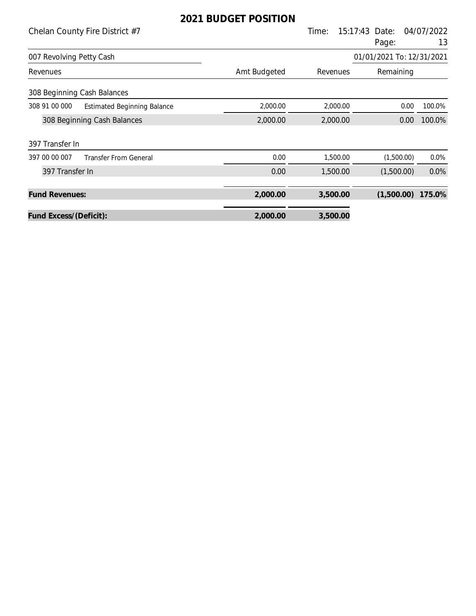|                          | Chelan County Fire District #7     |              | Time:                 | 15:17:43 Date:<br>Page:   | 04/07/2022<br>13 |
|--------------------------|------------------------------------|--------------|-----------------------|---------------------------|------------------|
| 007 Revolving Petty Cash |                                    |              |                       | 01/01/2021 To: 12/31/2021 |                  |
| Revenues                 |                                    | Amt Budgeted | Remaining<br>Revenues |                           |                  |
|                          | 308 Beginning Cash Balances        |              |                       |                           |                  |
| 308 91 00 000            | <b>Estimated Beginning Balance</b> | 2,000.00     | 2,000.00              | 0.00                      | 100.0%           |
|                          | 308 Beginning Cash Balances        | 2,000.00     | 2,000.00              | 0.00                      | 100.0%           |
| 397 Transfer In          |                                    |              |                       |                           |                  |
| 397 00 00 007            | <b>Transfer From General</b>       | 0.00         | 1,500.00              | (1,500.00)                | $0.0\%$          |
| 397 Transfer In          |                                    | 0.00         | 1,500.00              | (1,500.00)                | 0.0%             |
| <b>Fund Revenues:</b>    |                                    | 2,000.00     | 3,500.00              | (1,500.00)                | 175.0%           |
| Fund Excess/(Deficit):   |                                    | 2,000.00     | 3,500.00              |                           |                  |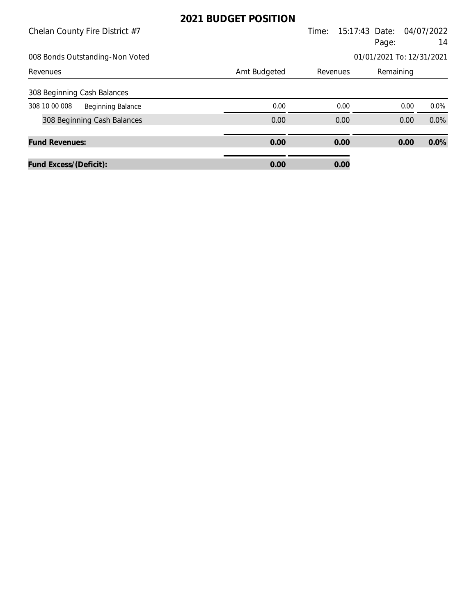| Chelan County Fire District #7            |              | Time:    | 15:17:43 Date:            | 04/07/2022 |
|-------------------------------------------|--------------|----------|---------------------------|------------|
|                                           |              |          | Page:                     | 14         |
| 008 Bonds Outstanding-Non Voted           |              |          | 01/01/2021 To: 12/31/2021 |            |
| Revenues                                  | Amt Budgeted | Revenues | Remaining                 |            |
| 308 Beginning Cash Balances               |              |          |                           |            |
| 308 10 00 008<br><b>Beginning Balance</b> | 0.00         | 0.00     | 0.00                      | $0.0\%$    |
| 308 Beginning Cash Balances               | 0.00         | 0.00     | 0.00                      | 0.0%       |
| <b>Fund Revenues:</b>                     | 0.00         | 0.00     | 0.00                      | 0.0%       |
| Fund Excess/(Deficit):                    | 0.00         | 0.00     |                           |            |